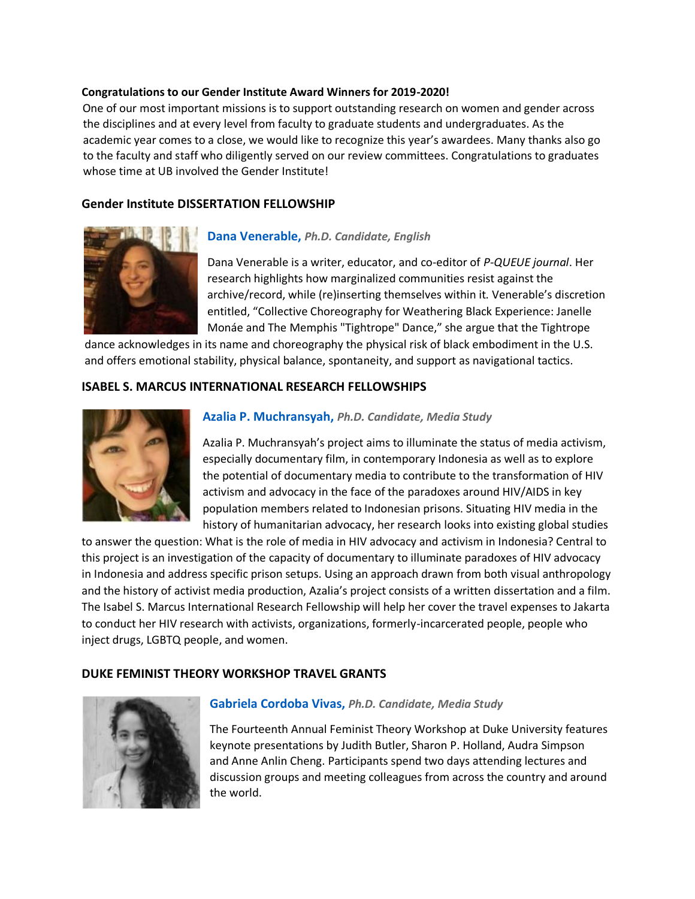#### **Congratulations to our Gender Institute Award Winners for 2019-2020!**

One of our most important missions is to support outstanding research on women and gender across the disciplines and at every level from faculty to graduate students and undergraduates. As the academic year comes to a close, we would like to recognize this year's awardees. Many thanks also go to the faculty and staff who diligently served on our review committees. Congratulations to graduates whose time at UB involved the Gender Institute!

#### **Gender Institute DISSERTATION FELLOWSHIP**



### **Dana Venerable,** *Ph.D. Candidate, English*

Dana Venerable is a writer, educator, and co-editor of *P-QUEUE journal*. Her research highlights how marginalized communities resist against the archive/record, while (re)inserting themselves within it. Venerable's discretion entitled, "Collective [Choreography](https://www.academia.edu/40016136/Collective_Choreography_for_Weathering_Black_Experience_Janelle_Mon%C3%A1e_and_The_Memphis_Tightrope_Dance) for Weathering Black Experience: Janelle Monáe and The Memphis ["Tightrope"](https://www.academia.edu/40016136/Collective_Choreography_for_Weathering_Black_Experience_Janelle_Mon%C3%A1e_and_The_Memphis_Tightrope_Dance) Dance," she argue that the Tightrope

dance acknowledges in its name and choreography the physical risk of black embodiment in the U.S. and offers emotional stability, physical balance, spontaneity, and support as navigational tactics.

### **ISABEL S. MARCUS INTERNATIONAL RESEARCH FELLOWSHIPS**



#### **Azalia P. Muchransyah,** *Ph.D. Candidate, Media Study*

Azalia P. Muchransyah's project aims to illuminate the status of media activism, especially documentary film, in contemporary Indonesia as well as to explore the potential of documentary media to contribute to the transformation of HIV activism and advocacy in the face of the paradoxes around HIV/AIDS in key population members related to Indonesian prisons. Situating HIV media in the history of humanitarian advocacy, her research looks into existing global studies

to answer the question: What is the role of media in HIV advocacy and activism in Indonesia? Central to this project is an investigation of the capacity of documentary to illuminate paradoxes of HIV advocacy in Indonesia and address specific prison setups. Using an approach drawn from both visual anthropology and the history of activist media production, Azalia's project consists of a written dissertation and a film. The Isabel S. Marcus International Research Fellowship will help her cover the travel expenses to Jakarta to conduct her HIV research with activists, organizations, formerly-incarcerated people, people who inject drugs, LGBTQ people, and women.

#### **DUKE FEMINIST THEORY WORKSHOP TRAVEL GRANTS**



#### **Gabriela Cordoba Vivas,** *Ph.D. Candidate, Media Study*

The Fourteenth Annual Feminist Theory Workshop at Duke University features keynote presentations by Judith Butler, Sharon P. Holland, Audra Simpson and Anne Anlin Cheng. Participants spend two days attending lectures and discussion groups and meeting colleagues from across the country and around the world.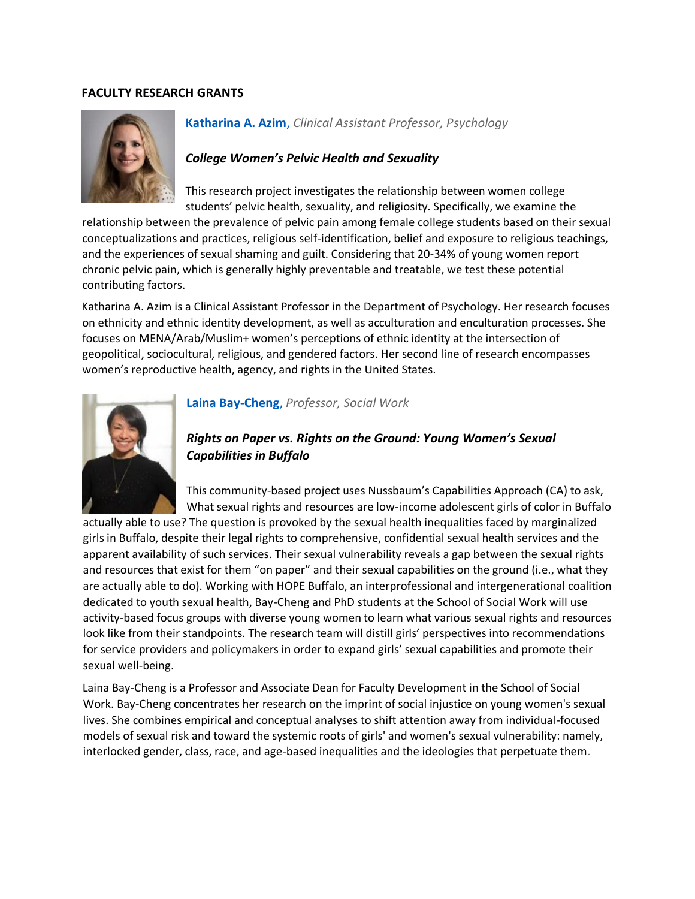#### **FACULTY RESEARCH GRANTS**



## **Katharina A. Azim**, *Clinical Assistant Professor, Psychology*

### *College Women's Pelvic Health and Sexuality*

This research project investigates the relationship between women college students' pelvic health, sexuality, and religiosity. Specifically, we examine the

relationship between the prevalence of pelvic pain among female college students based on their sexual conceptualizations and practices, religious self-identification, belief and exposure to religious teachings, and the experiences of sexual shaming and guilt. Considering that 20-34% of young women report chronic pelvic pain, which is generally highly preventable and treatable, we test these potential contributing factors.

Katharina A. Azim is a Clinical Assistant Professor in the Department of Psychology. Her research focuses on ethnicity and ethnic identity development, as well as acculturation and enculturation processes. She focuses on MENA/Arab/Muslim+ women's perceptions of ethnic identity at the intersection of geopolitical, sociocultural, religious, and gendered factors. Her second line of research encompasses women's reproductive health, agency, and rights in the United States.



#### **Laina Bay-Cheng**, *Professor, Social Work*

# *Rights on Paper vs. Rights on the Ground: Young Women's Sexual Capabilities in Buffalo*

This community-based project uses Nussbaum's Capabilities Approach (CA) to ask, What sexual rights and resources are low-income adolescent girls of color in Buffalo

actually able to use? The question is provoked by the sexual health inequalities faced by marginalized girls in Buffalo, despite their legal rights to comprehensive, confidential sexual health services and the apparent availability of such services. Their sexual vulnerability reveals a gap between the sexual rights and resources that exist for them "on paper" and their sexual capabilities on the ground (i.e., what they are actually able to do). Working with HOPE Buffalo, an interprofessional and intergenerational coalition dedicated to youth sexual health, Bay-Cheng and PhD students at the School of Social Work will use activity-based focus groups with diverse young women to learn what various sexual rights and resources look like from their standpoints. The research team will distill girls' perspectives into recommendations for service providers and policymakers in order to expand girls' sexual capabilities and promote their sexual well-being.

Laina Bay-Cheng is a Professor and Associate Dean for Faculty Development in the School of Social Work. Bay-Cheng concentrates her research on the imprint of social injustice on young women's sexual lives. She combines empirical and conceptual analyses to shift attention away from individual-focused models of sexual risk and toward the systemic roots of girls' and women's sexual vulnerability: namely, interlocked gender, class, race, and age-based inequalities and the ideologies that perpetuate them.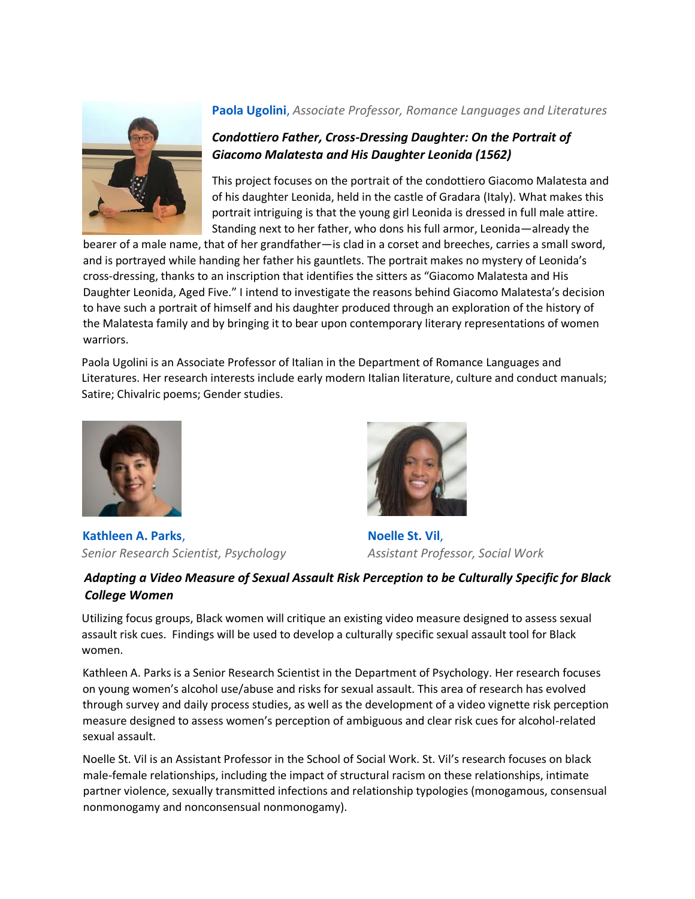

# **Paola Ugolini**, *Associate Professor, Romance Languages and Literatures*

# *Condottiero Father, Cross-Dressing Daughter: On the Portrait of Giacomo Malatesta and His Daughter Leonida (1562)*

This project focuses on the portrait of the condottiero Giacomo Malatesta and of his daughter Leonida, held in the castle of Gradara (Italy). What makes this portrait intriguing is that the young girl Leonida is dressed in full male attire. Standing next to her father, who dons his full armor, Leonida—already the

bearer of a male name, that of her grandfather—is clad in a corset and breeches, carries a small sword, and is portrayed while handing her father his gauntlets. The portrait makes no mystery of Leonida's cross-dressing, thanks to an inscription that identifies the sitters as "Giacomo Malatesta and His Daughter Leonida, Aged Five." I intend to investigate the reasons behind Giacomo Malatesta's decision to have such a portrait of himself and his daughter produced through an exploration of the history of the Malatesta family and by bringing it to bear upon contemporary literary representations of women warriors.

Paola Ugolini is an Associate Professor of Italian in the Department of Romance Languages and Literatures. Her research interests include early modern Italian literature, culture and conduct manuals; Satire; Chivalric poems; Gender studies.



**Kathleen A. Parks**, **Noelle St. Vil**, **Noelle St. Vil**, *Senior Research Scientist, Psychology Assistant Professor, Social Work*



# *Adapting a Video Measure of Sexual Assault Risk Perception to be Culturally Specific for Black College Women*

Utilizing focus groups, Black women will critique an existing video measure designed to assess sexual assault risk cues. Findings will be used to develop a culturally specific sexual assault tool for Black women.

Kathleen A. Parks is a Senior Research Scientist in the Department of Psychology. Her research focuses on young women's alcohol use/abuse and risks for sexual assault. This area of research has evolved through survey and daily process studies, as well as the development of a video vignette risk perception measure designed to assess women's perception of ambiguous and clear risk cues for alcohol-related sexual assault.

Noelle St. Vil is an Assistant Professor in the School of Social Work. St. Vil's research focuses on black male-female relationships, including the impact of structural racism on these relationships, intimate partner violence, sexually transmitted infections and relationship typologies (monogamous, consensual nonmonogamy and nonconsensual nonmonogamy).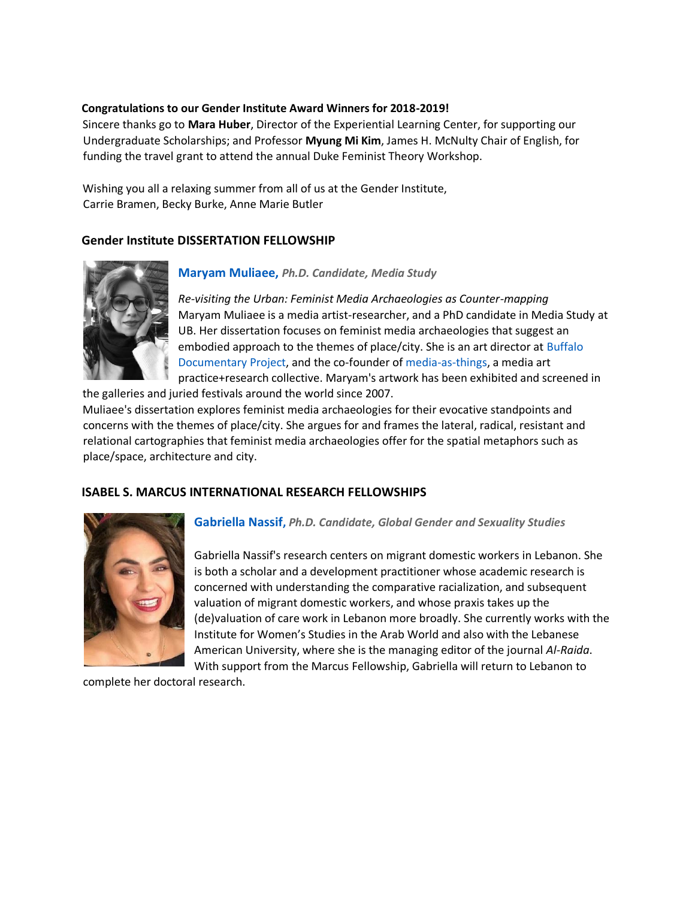#### **Congratulations to our Gender Institute Award Winners for 2018-2019!**

Sincere thanks go to **Mara Huber**, Director of the Experiential Learning Center, for supporting our Undergraduate Scholarships; and Professor **Myung Mi Kim**, James H. McNulty Chair of English, for funding the travel grant to attend the annual Duke Feminist Theory Workshop.

Wishing you all a relaxing summer from all of us at the Gender Institute, Carrie Bramen, Becky Burke, Anne Marie Butler

## **Gender Institute DISSERTATION FELLOWSHIP**



### **Maryam Muliaee,** *Ph.D. Candidate, Media Study*

*Re-visiting the Urban: Feminist Media Archaeologies as Counter-mapping*  Maryam Muliaee is a media artist-researcher, and a PhD candidate in Media Study at UB. Her dissertation focuses on feminist media archaeologies that suggest an embodied approach to the themes of place/city. She is an art director a[t](http://buffalodocumentaryproject.com/) [Buffalo](http://buffalodocumentaryproject.com/) [Documentary](http://buffalodocumentaryproject.com/) [Project,](http://buffalodocumentaryproject.com/) and the co-founder of [media-as-things,](http://media-as-things.com/) a media art practice+research collective. Maryam's artwork has been exhibited and screened in

the galleries and juried festivals around the world since 2007. Muliaee's dissertation explores feminist media archaeologies for their evocative standpoints and concerns with the themes of place/city. She argues for and frames the lateral, radical, resistant and relational cartographies that feminist media archaeologies offer for the spatial metaphors such as place/space, architecture and city.

### **ISABEL S. MARCUS INTERNATIONAL RESEARCH FELLOWSHIPS**



### **Gabriella Nassif,** *Ph.D. Candidate, Global Gender and Sexuality Studies*

Gabriella Nassif's research centers on migrant domestic workers in Lebanon. She is both a scholar and a development practitioner whose academic research is concerned with understanding the comparative racialization, and subsequent valuation of migrant domestic workers, and whose praxis takes up the (de)valuation of care work in Lebanon more broadly. She currently works with the Institute for Women's Studies in the Arab World and also with the Lebanese American University, where she is the managing editor of the journal *Al-Raida*. With support from the Marcus Fellowship, Gabriella will return to Lebanon to

complete her doctoral research.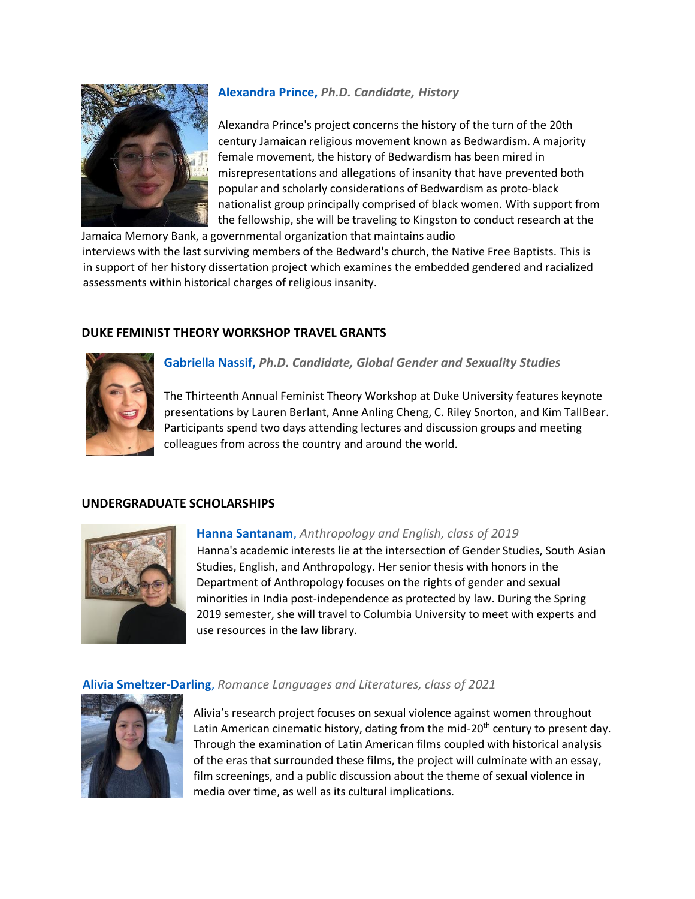

# **Alexandra Prince,** *Ph.D. Candidate, History*

Alexandra Prince's project concerns the history of the turn of the 20th century Jamaican religious movement known as Bedwardism. A majority female movement, the history of Bedwardism has been mired in misrepresentations and allegations of insanity that have prevented both popular and scholarly considerations of Bedwardism as proto-black nationalist group principally comprised of black women. With support from the fellowship, she will be traveling to Kingston to conduct research at the

Jamaica Memory Bank, a governmental organization that maintains audio interviews with the last surviving members of the Bedward's church, the Native Free Baptists. This is in support of her history dissertation project which examines the embedded gendered and racialized assessments within historical charges of religious insanity.

# **DUKE FEMINIST THEORY WORKSHOP TRAVEL GRANTS**



**Gabriella Nassif,** *Ph.D. Candidate, Global Gender and Sexuality Studies*

The Thirteenth Annual Feminist Theory Workshop at Duke University features keynote presentations by Lauren Berlant, Anne Anling Cheng, C. Riley Snorton, and Kim TallBear. Participants spend two days attending lectures and discussion groups and meeting colleagues from across the country and around the world.

### **UNDERGRADUATE SCHOLARSHIPS**



### **Hanna Santanam**, *Anthropology and English, class of 2019*

Hanna's academic interests lie at the intersection of Gender Studies, South Asian Studies, English, and Anthropology. Her senior thesis with honors in the Department of Anthropology focuses on the rights of gender and sexual minorities in India post-independence as protected by law. During the Spring 2019 semester, she will travel to Columbia University to meet with experts and use resources in the law library.

### **Alivia Smeltzer-Darling**, *Romance Languages and Literatures, class of 2021*



Alivia's research project focuses on sexual violence against women throughout Latin American cinematic history, dating from the mid-20<sup>th</sup> century to present day. Through the examination of Latin American films coupled with historical analysis of the eras that surrounded these films, the project will culminate with an essay, film screenings, and a public discussion about the theme of sexual violence in media over time, as well as its cultural implications.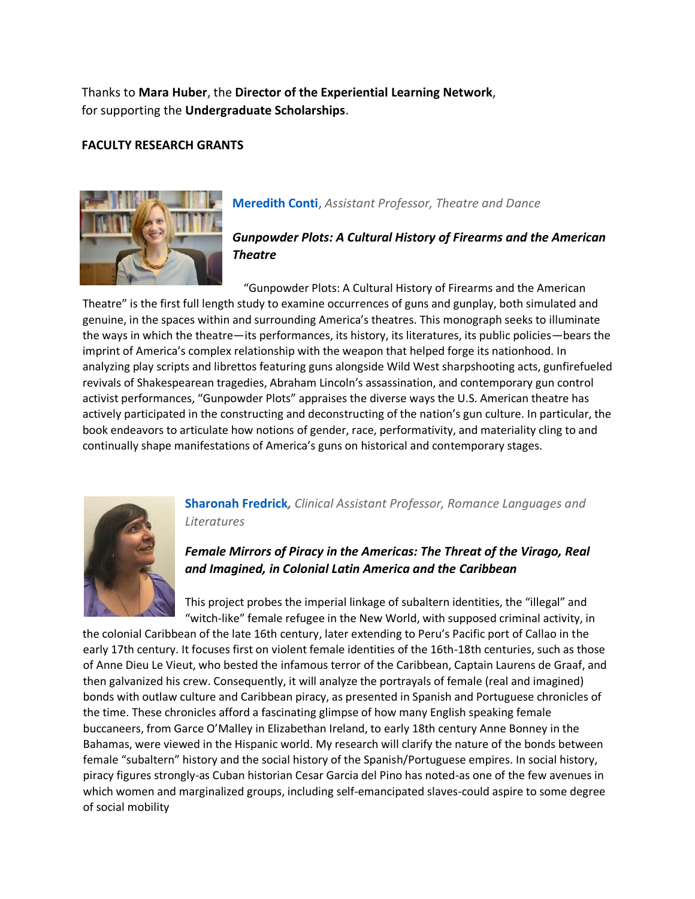Thanks to **Mara Huber**, the **Director of the Experiential Learning Network**, for supporting the **Undergraduate Scholarships**.

### **FACULTY RESEARCH GRANTS**



# **Meredith Conti**, *Assistant Professor, Theatre and Dance*

# *Gunpowder Plots: A Cultural History of Firearms and the American Theatre*

"Gunpowder Plots: A Cultural History of Firearms and the American Theatre" is the first full length study to examine occurrences of guns and gunplay, both simulated and genuine, in the spaces within and surrounding America's theatres. This monograph seeks to illuminate the ways in which the theatre—its performances, its history, its literatures, its public policies—bears the imprint of America's complex relationship with the weapon that helped forge its nationhood. In analyzing play scripts and librettos featuring guns alongside Wild West sharpshooting acts, gunfirefueled revivals of Shakespearean tragedies, Abraham Lincoln's assassination, and contemporary gun control activist performances, "Gunpowder Plots" appraises the diverse ways the U.S. American theatre has actively participated in the constructing and deconstructing of the nation's gun culture. In particular, the book endeavors to articulate how notions of gender, race, performativity, and materiality cling to and continually shape manifestations of America's guns on historical and contemporary stages.



# **Sharonah Fredrick***, Clinical Assistant Professor, Romance Languages and Literatures*

# *Female Mirrors of Piracy in the Americas: The Threat of the Virago, Real and Imagined, in Colonial Latin America and the Caribbean*

This project probes the imperial linkage of subaltern identities, the "illegal" and "witch-like" female refugee in the New World, with supposed criminal activity, in

the colonial Caribbean of the late 16th century, later extending to Peru's Pacific port of Callao in the early 17th century. It focuses first on violent female identities of the 16th-18th centuries, such as those of Anne Dieu Le Vieut, who bested the infamous terror of the Caribbean, Captain Laurens de Graaf, and then galvanized his crew. Consequently, it will analyze the portrayals of female (real and imagined) bonds with outlaw culture and Caribbean piracy, as presented in Spanish and Portuguese chronicles of the time. These chronicles afford a fascinating glimpse of how many English speaking female buccaneers, from Garce O'Malley in Elizabethan Ireland, to early 18th century Anne Bonney in the Bahamas, were viewed in the Hispanic world. My research will clarify the nature of the bonds between female "subaltern" history and the social history of the Spanish/Portuguese empires. In social history, piracy figures strongly-as Cuban historian Cesar Garcia del Pino has noted-as one of the few avenues in which women and marginalized groups, including self-emancipated slaves-could aspire to some degree of social mobility